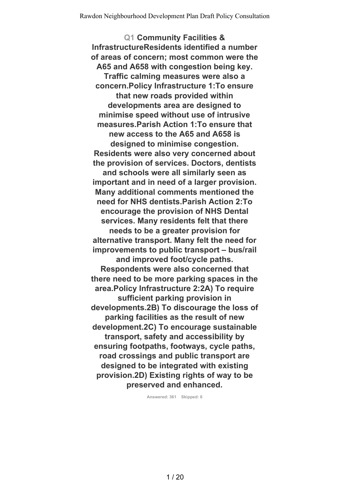**Q1 Community Facilities & InfrastructureResidents identified a number of areas of concern; most common were the A65 and A658 with congestion being key. Traffic calming measures were also a concern.Policy Infrastructure 1:To ensure that new roads provided within developments area are designed to minimise speed without use of intrusive measures.Parish Action 1:To ensure that new access to the A65 and A658 is designed to minimise congestion. Residents were also very concerned about the provision of services. Doctors, dentists and schools were all similarly seen as important and in need of a larger provision. Many additional comments mentioned the need for NHS dentists.Parish Action 2:To encourage the provision of NHS Dental services. Many residents felt that there needs to be a greater provision for alternative transport. Many felt the need for improvements to public transport – bus/rail and improved foot/cycle paths. Respondents were also concerned that there need to be more parking spaces in the area.Policy Infrastructure 2:2A) To require sufficient parking provision in developments.2B) To discourage the loss of parking facilities as the result of new development.2C) To encourage sustainable transport, safety and accessibility by ensuring footpaths, footways, cycle paths, road crossings and public transport are designed to be integrated with existing provision.2D) Existing rights of way to be preserved and enhanced.**

**Answered: 361 Skipped: 6**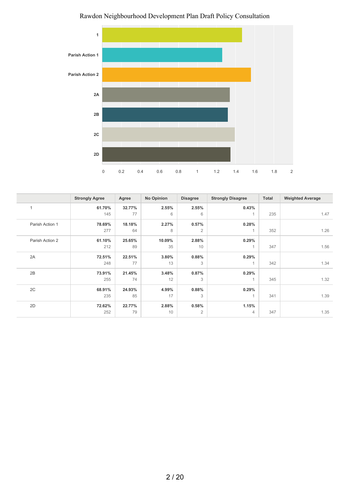

|                 | <b>Strongly Agree</b> | Agree  | No Opinion | <b>Disagree</b> | <b>Strongly Disagree</b> | Total | <b>Weighted Average</b> |
|-----------------|-----------------------|--------|------------|-----------------|--------------------------|-------|-------------------------|
| 1               | 61.70%                | 32.77% | 2.55%      | 2.55%           | 0.43%                    |       |                         |
|                 | 145                   | 77     | 6          | 6               | 1                        | 235   | 1.47                    |
| Parish Action 1 | 78.69%                | 18.18% | 2.27%      | 0.57%           | 0.28%                    |       |                         |
|                 | 277                   | 64     | 8          | 2               | 1                        | 352   | 1.26                    |
| Parish Action 2 | 61.10%                | 25.65% | 10.09%     | 2.88%           | 0.29%                    |       |                         |
|                 | 212                   | 89     | 35         | 10              | 1                        | 347   | 1.56                    |
| 2A              | 72.51%                | 22.51% | 3.80%      | 0.88%           | 0.29%                    |       |                         |
|                 | 248                   | 77     | 13         | 3               | 1                        | 342   | 1.34                    |
| 2B              | 73.91%                | 21.45% | 3.48%      | 0.87%           | 0.29%                    |       |                         |
|                 | 255                   | 74     | 12         | 3               | $\mathbf{1}$             | 345   | 1.32                    |
| 2C              | 68.91%                | 24.93% | 4.99%      | 0.88%           | 0.29%                    |       |                         |
|                 | 235                   | 85     | 17         | 3               | 1                        | 341   | 1.39                    |
| 2D              | 72.62%                | 22.77% | 2.88%      | 0.58%           | 1.15%                    |       |                         |
|                 | 252                   | 79     | 10         | $\overline{2}$  | $\overline{4}$           | 347   | 1.35                    |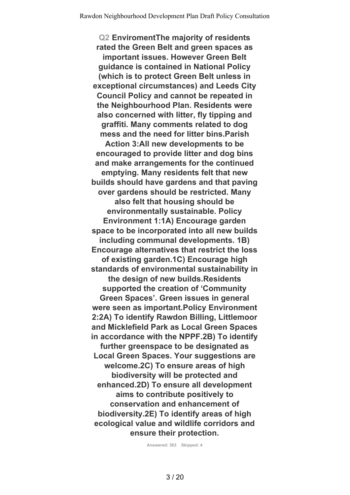**Q2 EnviromentThe majority of residents rated the Green Belt and green spaces as important issues. However Green Belt guidance is contained in National Policy (which is to protect Green Belt unless in exceptional circumstances) and Leeds City Council Policy and cannot be repeated in the Neighbourhood Plan. Residents were also concerned with litter, fly tipping and graffiti. Many comments related to dog mess and the need for litter bins.Parish Action 3:All new developments to be encouraged to provide litter and dog bins and make arrangements for the continued emptying. Many residents felt that new builds should have gardens and that paving over gardens should be restricted. Many also felt that housing should be environmentally sustainable. Policy Environment 1:1A) Encourage garden space to be incorporated into all new builds including communal developments. 1B) Encourage alternatives that restrict the loss of existing garden.1C) Encourage high standards of environmental sustainability in the design of new builds.Residents supported the creation of 'Community Green Spaces'. Green issues in general were seen as important.Policy Environment 2:2A) To identify Rawdon Billing, Littlemoor and Micklefield Park as Local Green Spaces in accordance with the NPPF.2B) To identify further greenspace to be designated as Local Green Spaces. Your suggestions are welcome.2C) To ensure areas of high biodiversity will be protected and enhanced.2D) To ensure all development aims to contribute positively to conservation and enhancement of biodiversity.2E) To identify areas of high ecological value and wildlife corridors and ensure their protection.**

**Answered: 363 Skipped: 4**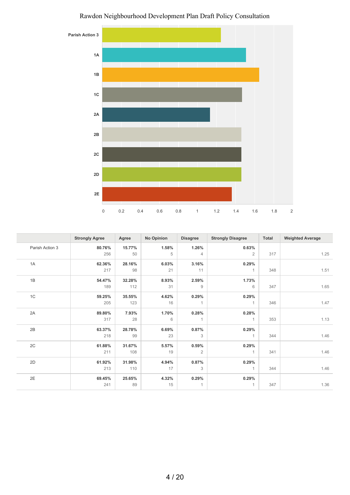

|                 | <b>Strongly Agree</b> | Agree  | <b>No Opinion</b> | <b>Disagree</b> | <b>Strongly Disagree</b> | Total | <b>Weighted Average</b> |
|-----------------|-----------------------|--------|-------------------|-----------------|--------------------------|-------|-------------------------|
| Parish Action 3 | 80.76%                | 15.77% | 1.58%             | 1.26%           | 0.63%                    |       |                         |
|                 | 256                   | 50     | 5                 | $\overline{4}$  | $\overline{2}$           | 317   | 1.25                    |
| 1A              | 62.36%                | 28.16% | 6.03%             | 3.16%           | 0.29%                    |       |                         |
|                 | 217                   | 98     | 21                | 11              | $\overline{1}$           | 348   | 1.51                    |
| 1B              | 54.47%                | 32.28% | 8.93%             | 2.59%           | 1.73%                    |       |                         |
|                 | 189                   | 112    | 31                | 9               | 6                        | 347   | 1.65                    |
| 1C              | 59.25%                | 35.55% | 4.62%             | 0.29%           | 0.29%                    |       |                         |
|                 | 205                   | 123    | 16                | 1               | $\overline{1}$           | 346   | 1.47                    |
| 2A              | 89.80%                | 7.93%  | 1.70%             | 0.28%           | 0.28%                    |       |                         |
|                 | 317                   | 28     | 6                 | $\overline{1}$  | 1                        | 353   | 1.13                    |
| 2B              | 63.37%                | 28.78% | 6.69%             | 0.87%           | 0.29%                    |       |                         |
|                 | 218                   | 99     | 23                | 3               | $\overline{1}$           | 344   | 1.46                    |
| 2C              | 61.88%                | 31.67% | 5.57%             | 0.59%           | 0.29%                    |       |                         |
|                 | 211                   | 108    | 19                | 2               | $\overline{1}$           | 341   | 1.46                    |
| 2D              | 61.92%                | 31.98% | 4.94%             | 0.87%           | 0.29%                    |       |                         |
|                 | 213                   | 110    | 17                | 3               | $\overline{1}$           | 344   | 1.46                    |
| 2E              | 69.45%                | 25.65% | 4.32%             | 0.29%           | 0.29%                    |       |                         |
|                 | 241                   | 89     | 15                | 1               | $\overline{1}$           | 347   | 1.36                    |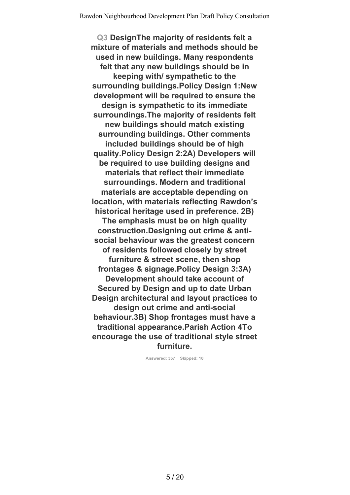**Q3 DesignThe majority of residents felt a mixture of materials and methods should be used in new buildings. Many respondents felt that any new buildings should be in keeping with/ sympathetic to the surrounding buildings.Policy Design 1:New development will be required to ensure the design is sympathetic to its immediate surroundings.The majority of residents felt new buildings should match existing surrounding buildings. Other comments included buildings should be of high quality.Policy Design 2:2A) Developers will be required to use building designs and materials that reflect their immediate surroundings. Modern and traditional materials are acceptable depending on location, with materials reflecting Rawdon's historical heritage used in preference. 2B) The emphasis must be on high quality construction.Designing out crime & antisocial behaviour was the greatest concern of residents followed closely by street furniture & street scene, then shop frontages & signage.Policy Design 3:3A) Development should take account of Secured by Design and up to date Urban Design architectural and layout practices to design out crime and anti-social behaviour.3B) Shop frontages must have a traditional appearance.Parish Action 4To encourage the use of traditional style street furniture.**

**Answered: 357 Skipped: 10**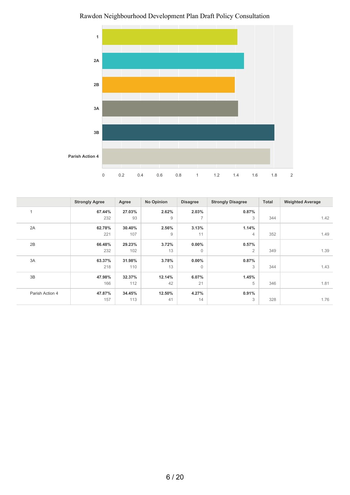

Rawdon Neighbourhood Development Plan Draft Policy Consultation

|                 | <b>Strongly Agree</b> | Agree  | <b>No Opinion</b> | <b>Disagree</b> | <b>Strongly Disagree</b> | Total | <b>Weighted Average</b> |
|-----------------|-----------------------|--------|-------------------|-----------------|--------------------------|-------|-------------------------|
|                 | 67.44%                | 27.03% | 2.62%             | 2.03%           | 0.87%                    |       |                         |
|                 | 232                   | 93     | 9                 | $\overline{7}$  | 3                        | 344   | 1.42                    |
| 2A              | 62.78%                | 30.40% | 2.56%             | 3.13%           | 1.14%                    |       |                         |
|                 | 221                   | 107    | 9                 | 11              | $\overline{4}$           | 352   | 1.49                    |
| 2B              | 66.48%                | 29.23% | 3.72%             | $0.00\%$        | 0.57%                    |       |                         |
|                 | 232                   | 102    | 13                | $\Omega$        | $\overline{2}$           | 349   | 1.39                    |
| 3A              | 63.37%                | 31.98% | 3.78%             | $0.00\%$        | 0.87%                    |       |                         |
|                 | 218                   | 110    | 13                | $\mathbf 0$     | 3                        | 344   | 1.43                    |
| 3B              | 47.98%                | 32.37% | 12.14%            | 6.07%           | 1.45%                    |       |                         |
|                 | 166                   | 112    | 42                | 21              | 5                        | 346   | 1.81                    |
| Parish Action 4 | 47.87%                | 34.45% | 12.50%            | 4.27%           | 0.91%                    |       |                         |
|                 | 157                   | 113    | 41                | 14              | 3                        | 328   | 1.76                    |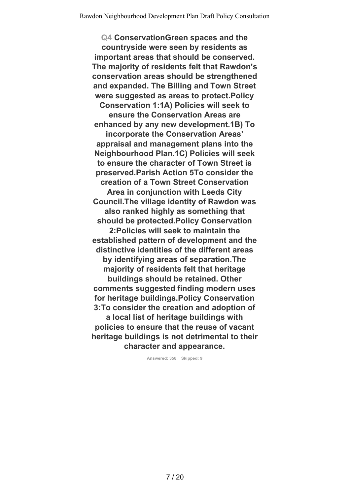**Q4 ConservationGreen spaces and the countryside were seen by residents as important areas that should be conserved. The majority of residents felt that Rawdon's conservation areas should be strengthened and expanded. The Billing and Town Street were suggested as areas to protect.Policy Conservation 1:1A) Policies will seek to ensure the Conservation Areas are enhanced by any new development.1B) To incorporate the Conservation Areas' appraisal and management plans into the Neighbourhood Plan.1C) Policies will seek to ensure the character of Town Street is preserved.Parish Action 5To consider the creation of a Town Street Conservation Area in conjunction with Leeds City Council.The village identity of Rawdon was also ranked highly as something that should be protected.Policy Conservation 2:Policies will seek to maintain the established pattern of development and the distinctive identities of the different areas by identifying areas of separation.The majority of residents felt that heritage buildings should be retained. Other comments suggested finding modern uses for heritage buildings.Policy Conservation 3:To consider the creation and adoption of a local list of heritage buildings with policies to ensure that the reuse of vacant heritage buildings is not detrimental to their character and appearance.**

**Answered: 358 Skipped: 9**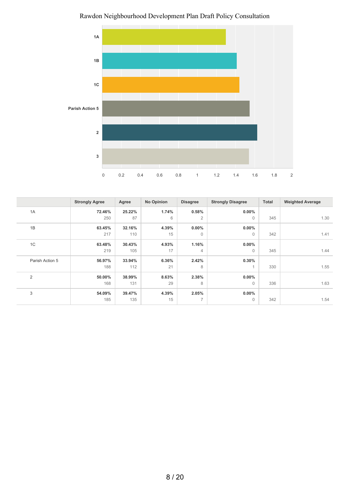

Rawdon Neighbourhood Development Plan Draft Policy Consultation

|                 | <b>Strongly Agree</b> | Agree  | <b>No Opinion</b> | <b>Disagree</b>          | <b>Strongly Disagree</b> | <b>Total</b> | <b>Weighted Average</b> |
|-----------------|-----------------------|--------|-------------------|--------------------------|--------------------------|--------------|-------------------------|
| 1A              | 72.46%                | 25.22% | 1.74%             | 0.58%                    | $0.00\%$                 |              |                         |
|                 | 250                   | 87     | 6                 | 2                        | $\mathbf{0}$             | 345          | 1.30                    |
| 1B              | 63.45%                | 32.16% | 4.39%             | $0.00\%$                 | $0.00\%$                 |              |                         |
|                 | 217                   | 110    | 15                | $\mathbf 0$              | 0                        | 342          | 1.41                    |
| 1C              | 63.48%                | 30.43% | 4.93%             | 1.16%                    | $0.00\%$                 |              |                         |
|                 | 219                   | 105    | 17                | $\overline{4}$           | 0                        | 345          | 1.44                    |
| Parish Action 5 | 56.97%                | 33.94% | 6.36%             | 2.42%                    | 0.30%                    |              |                         |
|                 | 188                   | 112    | 21                | 8                        | 1                        | 330          | 1.55                    |
| $\overline{2}$  | 50.00%                | 38.99% | 8.63%             | 2.38%                    | $0.00\%$                 |              |                         |
|                 | 168                   | 131    | 29                | 8                        | $\mathbf{0}$             | 336          | 1.63                    |
| 3               | 54.09%                | 39.47% | 4.39%             | 2.05%                    | $0.00\%$                 |              |                         |
|                 | 185                   | 135    | 15                | $\overline{\phantom{a}}$ | $\mathbf{0}$             | 342          | 1.54                    |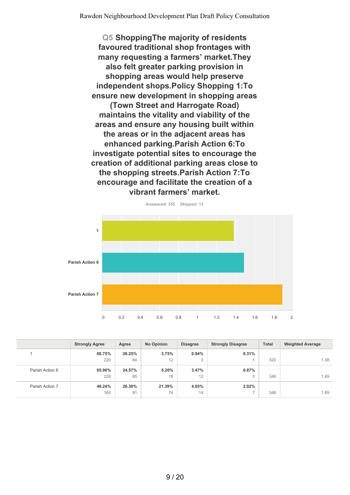**Q5 ShoppingThe majority of residents favoured traditional shop frontages with many requesting a farmers' market.They also felt greater parking provision in shopping areas would help preserve independent shops.Policy Shopping 1:To ensure new development in shopping areas (Town Street and Harrogate Road) maintains the vitality and viability of the areas and ensure any housing built within the areas or in the adjacent areas has enhanced parking.Parish Action 6:To investigate potential sites to encourage the creation of additional parking areas close to the shopping streets.Parish Action 7:To encourage and facilitate the creation of a vibrant farmers' market.**



|                 | <b>Strongly Agree</b> | Agree  | <b>No Opinion</b> | <b>Disagree</b> | <b>Strongly Disagree</b> | <b>Total</b> | <b>Weighted Average</b> |
|-----------------|-----------------------|--------|-------------------|-----------------|--------------------------|--------------|-------------------------|
|                 | 68.75%                | 26.25% | 3.75%             | 0.94%           | 0.31%                    |              |                         |
|                 | 220                   | 84     | 12                | 3               |                          | 320          | 1.38                    |
| Parish Action 6 | 65.90%                | 24.57% | 5.20%             | 3.47%           | 0.87%                    |              |                         |
|                 | 228                   | 85     | 18                | 12              | 3                        | 346          | 1.49                    |
| Parish Action 7 | 46.24%                | 26.30% | 21.39%            | 4.05%           | 2.02%                    |              |                         |
|                 | 160                   | 91     | 74                | 14              |                          | 346          | 1.89                    |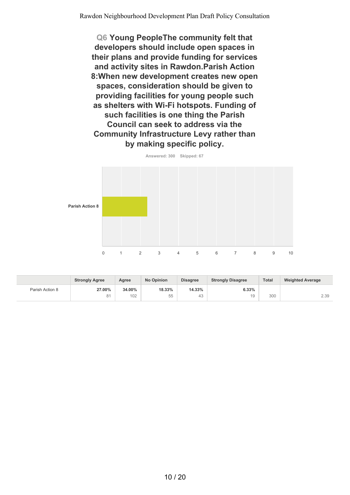**Q6 Young PeopleThe community felt that developers should include open spaces in their plans and provide funding for services and activity sites in Rawdon.Parish Action 8:When new development creates new open spaces, consideration should be given to providing facilities for young people such as shelters with Wi-Fi hotspots. Funding of such facilities is one thing the Parish Council can seek to address via the Community Infrastructure Levy rather than by making specific policy.**



|                 | <b>Strongly Agree</b> | Agree  | <b>No Opinion</b><br><b>Disagree</b> |        | <b>Strongly Disagree</b> | <b>Total</b> | <b>Weighted Average</b> |
|-----------------|-----------------------|--------|--------------------------------------|--------|--------------------------|--------------|-------------------------|
| Parish Action 8 | 27.00%                | 34.00% | 18.33%                               | 14.33% | 6.33%                    |              |                         |
|                 | 81                    | 102    | $- -$<br>55                          | 43     | 19                       | 300          | 2.39                    |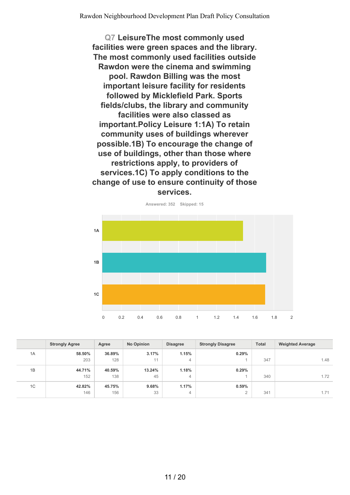**Q7 LeisureThe most commonly used facilities were green spaces and the library. The most commonly used facilities outside Rawdon were the cinema and swimming pool. Rawdon Billing was the most important leisure facility for residents followed by Micklefield Park. Sports fields/clubs, the library and community facilities were also classed as important.Policy Leisure 1:1A) To retain community uses of buildings wherever possible.1B) To encourage the change of use of buildings, other than those where restrictions apply, to providers of services.1C) To apply conditions to the change of use to ensure continuity of those services.**



|    | <b>Strongly Agree</b> | Agree  | <b>No Opinion</b> | <b>Disagree</b> | <b>Strongly Disagree</b> | <b>Total</b> | <b>Weighted Average</b> |
|----|-----------------------|--------|-------------------|-----------------|--------------------------|--------------|-------------------------|
| 1A | 58.50%                | 36.89% | 3.17%             | 1.15%           | 0.29%                    |              |                         |
|    | 203                   | 128    | 11                | 4               |                          | 347          | 1.48                    |
| 1B | 44.71%                | 40.59% | 13.24%            | 1.18%           | 0.29%                    |              |                         |
|    | 152                   | 138    | 45                | 4               |                          | 340          | 1.72                    |
| 1C | 42.82%                | 45.75% | 9.68%             | 1.17%           | 0.59%                    |              |                         |
|    | 146                   | 156    | 33                | 4               | $\overline{2}$           | 341          | 1.71                    |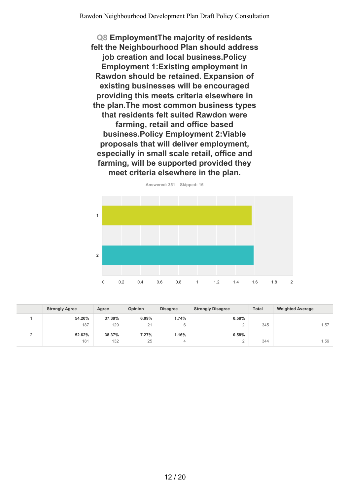**Q8 EmploymentThe majority of residents felt the Neighbourhood Plan should address job creation and local business.Policy Employment 1:Existing employment in Rawdon should be retained. Expansion of existing businesses will be encouraged providing this meets criteria elsewhere in the plan.The most common business types that residents felt suited Rawdon were farming, retail and office based business.Policy Employment 2:Viable proposals that will deliver employment, especially in small scale retail, office and farming, will be supported provided they meet criteria elsewhere in the plan.**



|          | <b>Strongly Agree</b> | Agree  | <b>Opinion</b> | <b>Disagree</b> | <b>Strongly Disagree</b> | <b>Total</b> | <b>Weighted Average</b> |
|----------|-----------------------|--------|----------------|-----------------|--------------------------|--------------|-------------------------|
|          | 54.20%                | 37.39% | 6.09%          | 1.74%           | 0.58%                    |              |                         |
|          | 187                   | 129    | 21             | 6               | ∼                        | 345          | 1.57                    |
| <u>_</u> | 52.62%                | 38.37% | 7.27%          | 1.16%           | 0.58%                    |              |                         |
|          | 181                   | 132    | 25             | 4               |                          | 344          | 1.59                    |

**Answered: 351 Skipped: 16**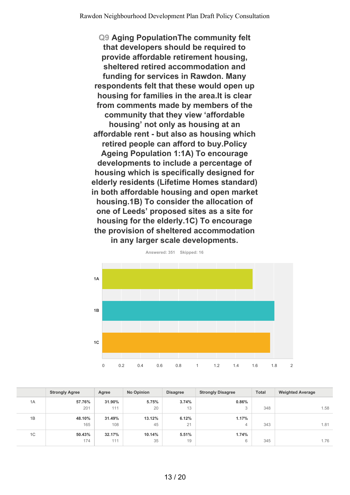**Q9 Aging PopulationThe community felt that developers should be required to provide affordable retirement housing, sheltered retired accommodation and funding for services in Rawdon. Many respondents felt that these would open up housing for families in the area.It is clear from comments made by members of the community that they view 'affordable housing' not only as housing at an affordable rent - but also as housing which retired people can afford to buy.Policy Ageing Population 1:1A) To encourage developments to include a percentage of housing which is specifically designed for elderly residents (Lifetime Homes standard) in both affordable housing and open market housing.1B) To consider the allocation of one of Leeds' proposed sites as a site for housing for the elderly.1C) To encourage the provision of sheltered accommodation in any larger scale developments.**



**Answered: 351 Skipped: 16**

|    | <b>Strongly Agree</b> | Agree  | <b>No Opinion</b> | <b>Disagree</b> | <b>Total</b><br><b>Strongly Disagree</b> |     | <b>Weighted Average</b> |
|----|-----------------------|--------|-------------------|-----------------|------------------------------------------|-----|-------------------------|
| 1A | 57.76%                | 31.90% | 5.75%             | 3.74%           | 0.86%                                    |     |                         |
|    | 201                   | 111    | 20                | 13              | 3                                        | 348 | 1.58                    |
| 1B | 48.10%                | 31.49% | 13.12%            | 6.12%           | 1.17%                                    |     |                         |
|    | 165                   | 108    | 45                | 21              | 4                                        | 343 | 1.81                    |
| 1C | 50.43%                | 32.17% | 10.14%            | 5.51%           | 1.74%                                    |     |                         |
|    | 174                   | 111    | 35                | 19              | 6                                        | 345 | 1.76                    |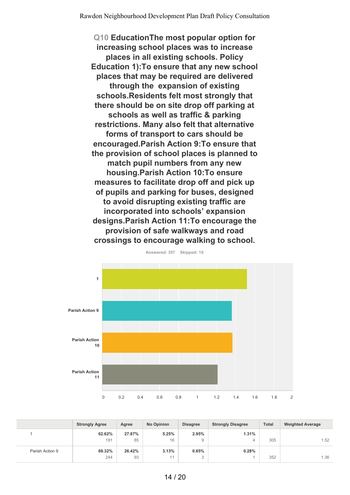**Q10 EducationThe most popular option for increasing school places was to increase places in all existing schools. Policy Education 1):To ensure that any new school places that may be required are delivered through the expansion of existing schools.Residents felt most strongly that there should be on site drop off parking at schools as well as traffic & parking restrictions. Many also felt that alternative forms of transport to cars should be encouraged.Parish Action 9:To ensure that the provision of school places is planned to match pupil numbers from any new housing.Parish Action 10:To ensure measures to facilitate drop off and pick up of pupils and parking for buses, designed to avoid disrupting existing traffic are incorporated into schools' expansion designs.Parish Action 11:To encourage the provision of safe walkways and road crossings to encourage walking to school.**



**Answered: 357 Skipped: 10**

|                 | <b>Strongly Agree</b> | Agree  | <b>No Opinion</b> | <b>Disagree</b>    | <b>Strongly Disagree</b> | <b>Total</b> | <b>Weighted Average</b> |
|-----------------|-----------------------|--------|-------------------|--------------------|--------------------------|--------------|-------------------------|
|                 | 62.62%                | 27.87% | 5.25%             | 2.95%              | 1.31%                    |              |                         |
|                 | 191                   | 85     | 16                | 9                  |                          | 305          | 1.52                    |
| Parish Action 9 | 69.32%                | 26.42% | 3.13%             | 0.85%              | 0.28%                    |              |                         |
|                 | 244                   | 93     | 11                | $\mathcal{L}$<br>◡ |                          | 352          | 1.36                    |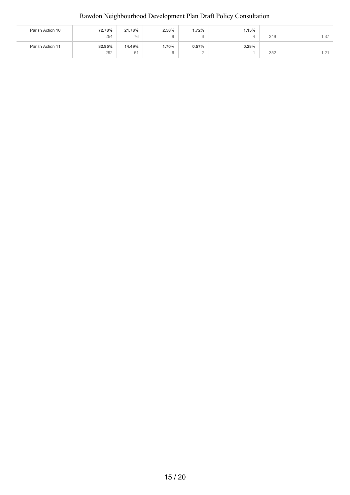| Parish Action 10 | 72.78% | 21.78% | 2.58% | 1.72% | 1.15% |     |                                 |
|------------------|--------|--------|-------|-------|-------|-----|---------------------------------|
|                  | 254    | 76     |       | 6     | 4     | 349 | 1.37                            |
| Parish Action 11 | 82.95% | 14.49% | 1.70% | 0.57% | 0.28% |     |                                 |
|                  | 292    | 51     |       | -     |       | 352 | 121<br>$\overline{\phantom{a}}$ |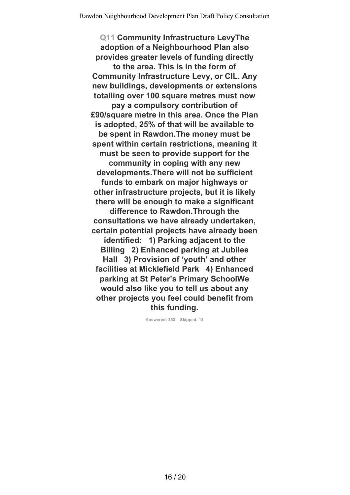**Q11 Community Infrastructure LevyThe adoption of a Neighbourhood Plan also provides greater levels of funding directly to the area. This is in the form of Community Infrastructure Levy, or CIL. Any new buildings, developments or extensions totalling over 100 square metres must now pay a compulsory contribution of £90/square metre in this area. Once the Plan is adopted, 25% of that will be available to be spent in Rawdon.The money must be spent within certain restrictions, meaning it must be seen to provide support for the community in coping with any new developments.There will not be sufficient funds to embark on major highways or other infrastructure projects, but it is likely there will be enough to make a significant difference to Rawdon.Through the consultations we have already undertaken, certain potential projects have already been identified: 1) Parking adjacent to the Billing 2) Enhanced parking at Jubilee Hall 3) Provision of 'youth' and other facilities at Micklefield Park 4) Enhanced parking at St Peter's Primary SchoolWe would also like you to tell us about any other projects you feel could benefit from this funding.**

**Answered: 353 Skipped: 14**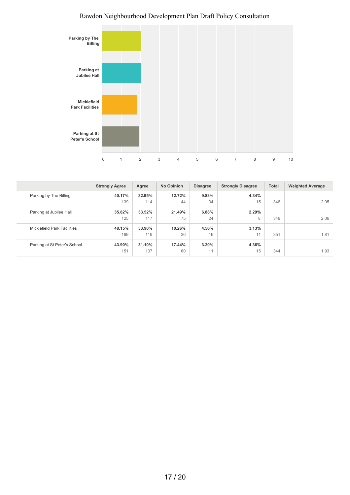

|                              | <b>Strongly Agree</b> | Agree  | <b>No Opinion</b> | <b>Disagree</b> | <b>Strongly Disagree</b> | <b>Total</b> | <b>Weighted Average</b> |
|------------------------------|-----------------------|--------|-------------------|-----------------|--------------------------|--------------|-------------------------|
| Parking by The Billing       | 40.17%                | 32.95% | 12.72%            | 9.83%           | 4.34%                    |              |                         |
|                              | 139                   | 114    | 44                | 34              | 15                       | 346          | 2.05                    |
| Parking at Jubilee Hall      | 35.82%                | 33.52% | 21.49%            | 6.88%           | 2.29%                    |              |                         |
|                              | 125                   | 117    | 75                | 24              | 8                        | 349          | 2.06                    |
| Micklefield Park Facilities  | 48.15%                | 33.90% | 10.26%            | 4.56%           | 3.13%                    |              |                         |
|                              | 169                   | 119    | 36                | 16              | 11                       | 351          | 1.81                    |
| Parking at St Peter's School | 43.90%                | 31.10% | 17.44%            | 3.20%           | 4.36%                    |              |                         |
|                              | 151                   | 107    | 60                | 11              | 15                       | 344          | 1.93                    |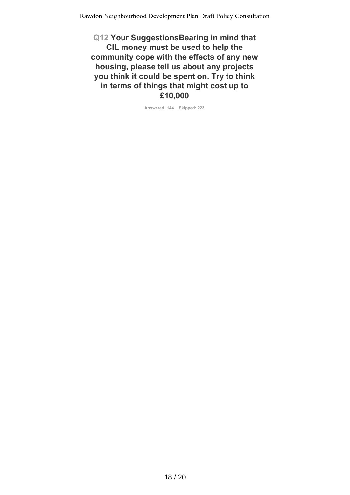**Q12 Your SuggestionsBearing in mind that CIL money must be used to help the community cope with the effects of any new housing, please tell us about any projects you think it could be spent on. Try to think in terms of things that might cost up to £10,000**

**Answered: 144 Skipped: 223**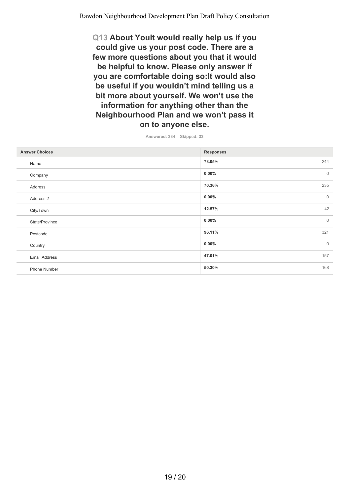**Q13 About YouIt would really help us if you could give us your post code. There are a few more questions about you that it would be helpful to know. Please only answer if you are comfortable doing so:It would also be useful if you wouldn't mind telling us a bit more about yourself. We won't use the information for anything other than the Neighbourhood Plan and we won't pass it on to anyone else.**

| Answered: 334 | Skipped: 33 |  |
|---------------|-------------|--|
|               |             |  |

| <b>Answer Choices</b> | <b>Responses</b>         |
|-----------------------|--------------------------|
| Name                  | 244<br>73.05%            |
| Company               | $\mathbf{0}$<br>$0.00\%$ |
| Address               | 235<br>70.36%            |
| Address 2             | $\mathbf{0}$<br>$0.00\%$ |
| City/Town             | 42<br>12.57%             |
| State/Province        | $0.00\%$<br>$\mathbb O$  |
| Postcode              | 321<br>96.11%            |
| Country               | $0.00\%$<br>$\mathbf 0$  |
| <b>Email Address</b>  | 47.01%<br>157            |
| Phone Number          | 50.30%<br>168            |